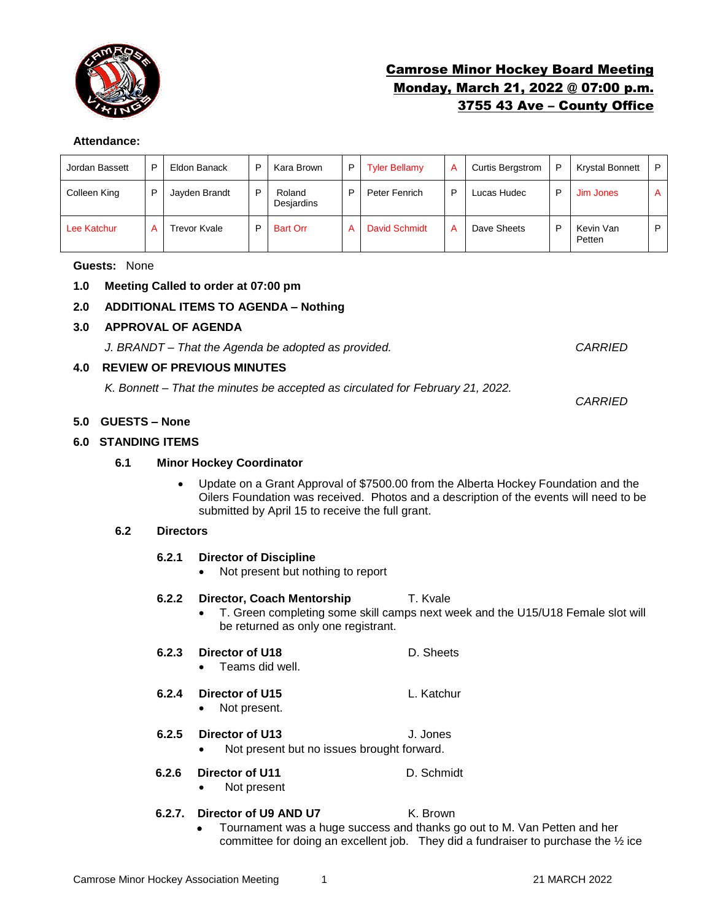

# Camrose Minor Hockey Board Meeting Monday, March 21, 2022 @ 07:00 p.m. 3755 43 Ave – County Office

#### **Attendance:**

| Jordan Bassett | D | Eldon Banack  | D | Kara Brown           | P I | <b>Tyler Bellamy</b> | А | <b>Curtis Bergstrom</b> | P | <b>Krystal Bonnett</b> | P |
|----------------|---|---------------|---|----------------------|-----|----------------------|---|-------------------------|---|------------------------|---|
| Colleen King   | D | Jayden Brandt | D | Roland<br>Desjardins | D   | Peter Fenrich        | D | Lucas Hudec             | D | Jim Jones              | A |
| Lee Katchur    |   | Trevor Kvale  | D | <b>Bart Orr</b>      | A   | <b>David Schmidt</b> | А | Dave Sheets             | D | Kevin Van<br>Petten    | D |

#### **Guests:** None

# **1.0 Meeting Called to order at 07:00 pm**

# **2.0 ADDITIONAL ITEMS TO AGENDA – Nothing**

# **3.0 APPROVAL OF AGENDA**

*J. BRANDT – That the Agenda be adopted as provided. CARRIED*

# **4.0 REVIEW OF PREVIOUS MINUTES**

*K. Bonnett – That the minutes be accepted as circulated for February 21, 2022.* 

# **5.0 GUESTS – None**

# **6.0 STANDING ITEMS**

# **6.1 Minor Hockey Coordinator**

• Update on a Grant Approval of \$7500.00 from the Alberta Hockey Foundation and the Oilers Foundation was received. Photos and a description of the events will need to be submitted by April 15 to receive the full grant.

# **6.2 Directors**

# **6.2.1 Director of Discipline**

• Not present but nothing to report

# **6.2.2 Director, Coach Mentorship T. Kvale**

• T. Green completing some skill camps next week and the U15/U18 Female slot will be returned as only one registrant.

# **6.2.3 Director of U18** D. Sheets

• Teams did well.

# **6.2.4 Director of U15** L. Katchur

• Not present.

# **6.2.5 Director of U13** J. Jones

• Not present but no issues brought forward.

# **6.2.6 Director of U11** D. Schmidt

• Not present

# **6.2.7. Director of U9 AND U7** K. Brown

• Tournament was a huge success and thanks go out to M. Van Petten and her committee for doing an excellent job. They did a fundraiser to purchase the ½ ice

*CARRIED*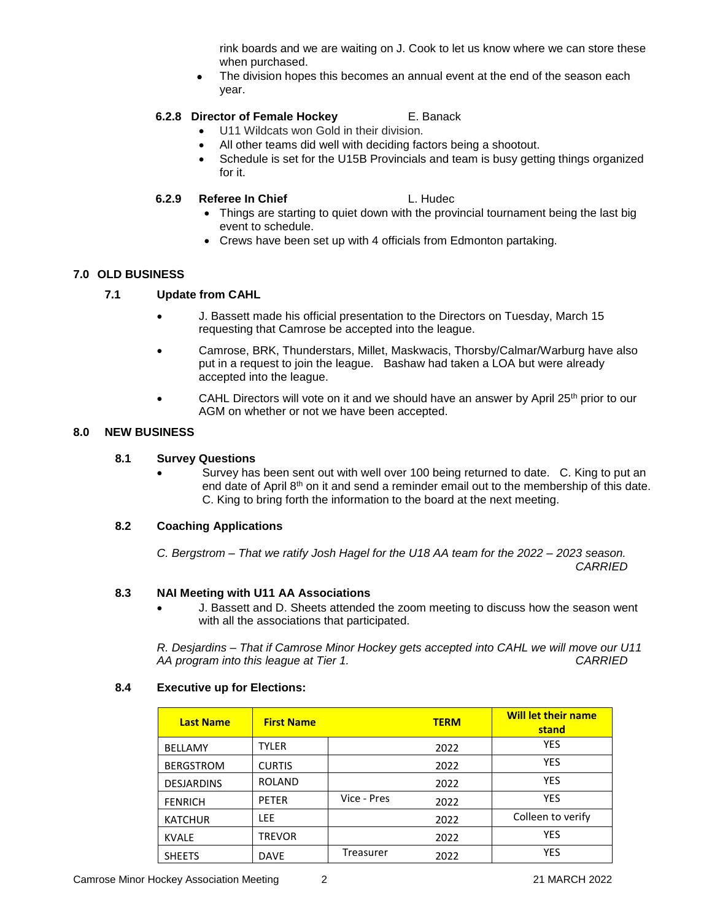rink boards and we are waiting on J. Cook to let us know where we can store these when purchased.

The division hopes this becomes an annual event at the end of the season each year.

# **6.2.8 Director of Female Hockey** E. Banack

- U11 Wildcats won Gold in their division.
- All other teams did well with deciding factors being a shootout.
- Schedule is set for the U15B Provincials and team is busy getting things organized for it.

# **6.2.9 Referee In Chief L. Hudec**

- Things are starting to quiet down with the provincial tournament being the last big event to schedule.
- Crews have been set up with 4 officials from Edmonton partaking.

# **7.0 OLD BUSINESS**

# **7.1 Update from CAHL**

- J. Bassett made his official presentation to the Directors on Tuesday, March 15 requesting that Camrose be accepted into the league.
- Camrose, BRK, Thunderstars, Millet, Maskwacis, Thorsby/Calmar/Warburg have also put in a request to join the league. Bashaw had taken a LOA but were already accepted into the league.
- CAHL Directors will vote on it and we should have an answer by April  $25<sup>th</sup>$  prior to our AGM on whether or not we have been accepted.

# **8.0 NEW BUSINESS**

# **8.1 Survey Questions**

• Survey has been sent out with well over 100 being returned to date. C. King to put an end date of April 8<sup>th</sup> on it and send a reminder email out to the membership of this date. C. King to bring forth the information to the board at the next meeting.

# **8.2 Coaching Applications**

*C. Bergstrom – That we ratify Josh Hagel for the U18 AA team for the 2022 – 2023 season. CARRIED*

# **8.3 NAI Meeting with U11 AA Associations**

• J. Bassett and D. Sheets attended the zoom meeting to discuss how the season went with all the associations that participated.

*R. Desjardins – That if Camrose Minor Hockey gets accepted into CAHL we will move our U11 AA program into this league at Tier 1. CARRIED*

# **8.4 Executive up for Elections:**

| <b>Last Name</b>  | <b>First Name</b> |             | <b>TERM</b> | <b>Will let their name</b><br>stand |
|-------------------|-------------------|-------------|-------------|-------------------------------------|
| <b>BELLAMY</b>    | <b>TYLER</b>      |             | 2022        | <b>YES</b>                          |
| <b>BERGSTROM</b>  | <b>CURTIS</b>     |             | 2022        | <b>YES</b>                          |
| <b>DESJARDINS</b> | <b>ROLAND</b>     |             | 2022        | <b>YES</b>                          |
| <b>FENRICH</b>    | <b>PETER</b>      | Vice - Pres | 2022        | <b>YES</b>                          |
| <b>KATCHUR</b>    | <b>LEE</b>        |             | 2022        | Colleen to verify                   |
| <b>KVALE</b>      | <b>TREVOR</b>     |             | 2022        | <b>YES</b>                          |
| <b>SHEETS</b>     | <b>DAVE</b>       | Treasurer   | 2022        | <b>YES</b>                          |